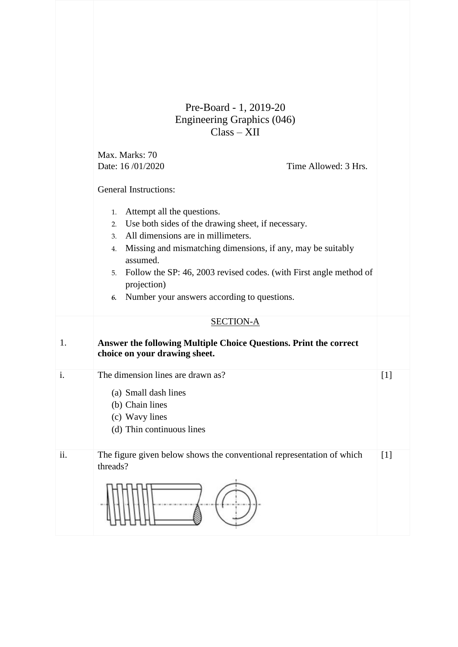|     | Pre-Board - 1, 2019-20<br>Engineering Graphics (046)                                                                                                                                                                                                                                                                                                                      |       |
|-----|---------------------------------------------------------------------------------------------------------------------------------------------------------------------------------------------------------------------------------------------------------------------------------------------------------------------------------------------------------------------------|-------|
|     | $Class - XII$                                                                                                                                                                                                                                                                                                                                                             |       |
|     | Max. Marks: 70<br>Date: 16/01/2020<br>Time Allowed: 3 Hrs.<br><b>General Instructions:</b>                                                                                                                                                                                                                                                                                |       |
|     | Attempt all the questions.<br>1.<br>Use both sides of the drawing sheet, if necessary.<br>2.<br>All dimensions are in millimeters.<br>3.<br>Missing and mismatching dimensions, if any, may be suitably<br>4.<br>assumed.<br>Follow the SP: 46, 2003 revised codes. (with First angle method of<br>5.<br>projection)<br>Number your answers according to questions.<br>6. |       |
|     | <b>SECTION-A</b>                                                                                                                                                                                                                                                                                                                                                          |       |
| 1.  | Answer the following Multiple Choice Questions. Print the correct<br>choice on your drawing sheet.                                                                                                                                                                                                                                                                        |       |
| i.  | The dimension lines are drawn as?<br>(a) Small dash lines<br>(b) Chain lines<br>(c) Wavy lines<br>(d) Thin continuous lines                                                                                                                                                                                                                                               | [1]   |
| ii. | The figure given below shows the conventional representation of which<br>threads?                                                                                                                                                                                                                                                                                         | $[1]$ |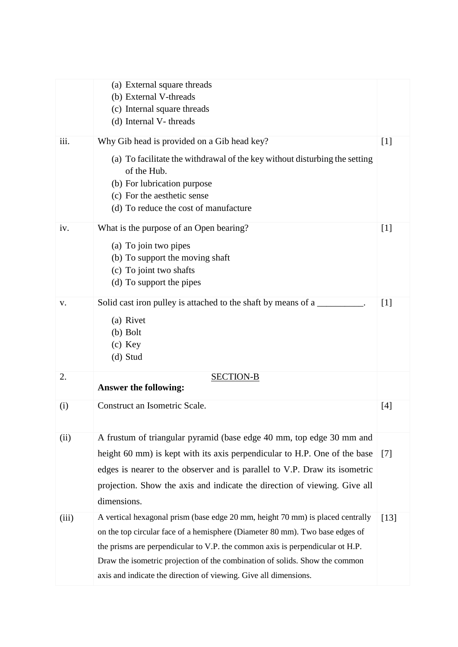|       | (a) External square threads<br>(b) External V-threads<br>(c) Internal square threads<br>(d) Internal V-threads                                                                                                                                                                                                                                                                                     |                   |
|-------|----------------------------------------------------------------------------------------------------------------------------------------------------------------------------------------------------------------------------------------------------------------------------------------------------------------------------------------------------------------------------------------------------|-------------------|
| iii.  | Why Gib head is provided on a Gib head key?<br>(a) To facilitate the withdrawal of the key without disturbing the setting<br>of the Hub.<br>(b) For lubrication purpose<br>(c) For the aesthetic sense<br>(d) To reduce the cost of manufacture                                                                                                                                                    | $[1]$             |
| iv.   | What is the purpose of an Open bearing?<br>(a) To join two pipes<br>(b) To support the moving shaft<br>(c) To joint two shafts<br>(d) To support the pipes                                                                                                                                                                                                                                         | $[1]$             |
| V.    | Solid cast iron pulley is attached to the shaft by means of a<br>(a) Rivet<br>$(b)$ Bolt<br>$(c)$ Key<br>(d) Stud                                                                                                                                                                                                                                                                                  | [1]               |
| 2.    | <b>SECTION-B</b><br><b>Answer the following:</b>                                                                                                                                                                                                                                                                                                                                                   |                   |
| (i)   | Construct an Isometric Scale.                                                                                                                                                                                                                                                                                                                                                                      | [4]               |
| (ii)  | A frustum of triangular pyramid (base edge 40 mm, top edge 30 mm and<br>height 60 mm) is kept with its axis perpendicular to H.P. One of the base<br>edges is nearer to the observer and is parallel to V.P. Draw its isometric<br>projection. Show the axis and indicate the direction of viewing. Give all<br>dimensions.                                                                        | $\lceil 7 \rceil$ |
| (iii) | A vertical hexagonal prism (base edge 20 mm, height 70 mm) is placed centrally<br>on the top circular face of a hemisphere (Diameter 80 mm). Two base edges of<br>the prisms are perpendicular to V.P. the common axis is perpendicular ot H.P.<br>Draw the isometric projection of the combination of solids. Show the common<br>axis and indicate the direction of viewing. Give all dimensions. | [13]              |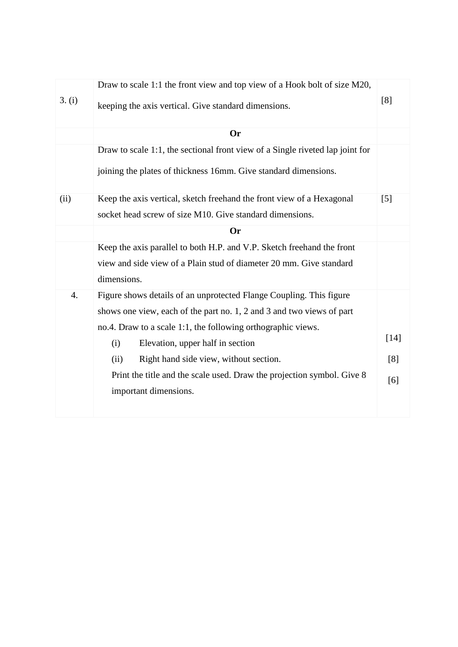| 3. (i) | Draw to scale 1:1 the front view and top view of a Hook bolt of size M20,<br>keeping the axis vertical. Give standard dimensions. | [8]               |
|--------|-----------------------------------------------------------------------------------------------------------------------------------|-------------------|
|        | <b>Or</b>                                                                                                                         |                   |
|        | Draw to scale 1:1, the sectional front view of a Single riveted lap joint for                                                     |                   |
|        | joining the plates of thickness 16mm. Give standard dimensions.                                                                   |                   |
| (ii)   | Keep the axis vertical, sketch freehand the front view of a Hexagonal                                                             | $\lceil 5 \rceil$ |
|        | socket head screw of size M10. Give standard dimensions.                                                                          |                   |
|        | <b>Or</b>                                                                                                                         |                   |
|        | Keep the axis parallel to both H.P. and V.P. Sketch freehand the front                                                            |                   |
|        | view and side view of a Plain stud of diameter 20 mm. Give standard                                                               |                   |
|        | dimensions.                                                                                                                       |                   |
| 4.     | Figure shows details of an unprotected Flange Coupling. This figure                                                               |                   |
|        | shows one view, each of the part no. 1, 2 and 3 and two views of part                                                             |                   |
|        | no.4. Draw to a scale 1:1, the following orthographic views.                                                                      |                   |
|        | Elevation, upper half in section<br>(i)                                                                                           | $[14]$            |
|        | Right hand side view, without section.<br>(ii)                                                                                    | [8]               |
|        | Print the title and the scale used. Draw the projection symbol. Give 8                                                            | [6]               |
|        | important dimensions.                                                                                                             |                   |
|        |                                                                                                                                   |                   |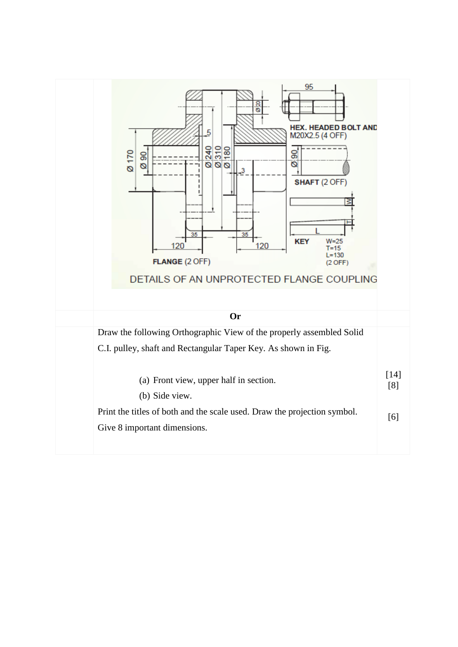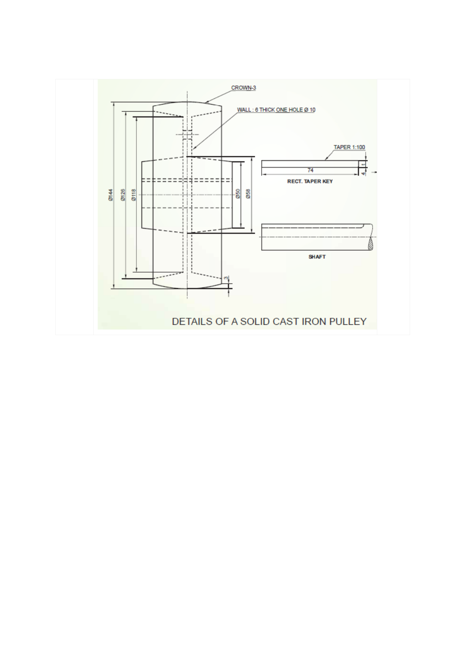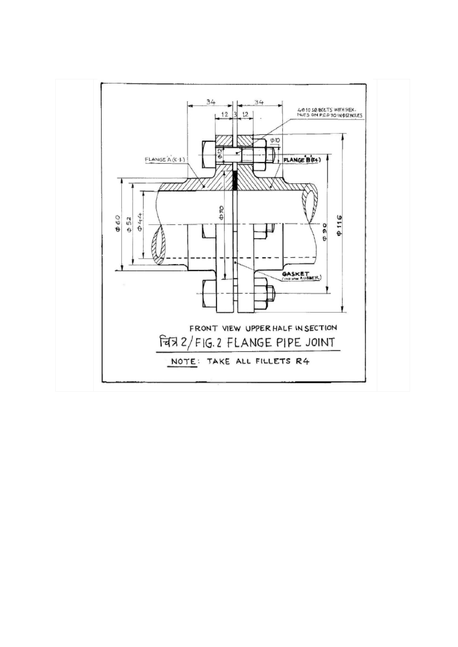